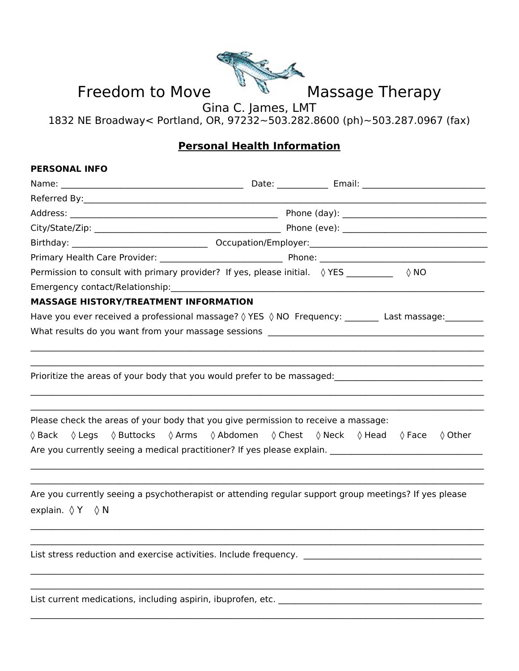

## **Personal Health Information**

| PERSUNAL INFU                                |                                                                                                                                                                                                                                                                |
|----------------------------------------------|----------------------------------------------------------------------------------------------------------------------------------------------------------------------------------------------------------------------------------------------------------------|
|                                              |                                                                                                                                                                                                                                                                |
|                                              |                                                                                                                                                                                                                                                                |
|                                              |                                                                                                                                                                                                                                                                |
|                                              |                                                                                                                                                                                                                                                                |
|                                              |                                                                                                                                                                                                                                                                |
|                                              |                                                                                                                                                                                                                                                                |
|                                              | Permission to consult with primary provider? If yes, please initial. $\Diamond$ YES ________<br>$\Diamond$ NO                                                                                                                                                  |
| Emergency contact/Relationship:              |                                                                                                                                                                                                                                                                |
| <b>MASSAGE HISTORY/TREATMENT INFORMATION</b> |                                                                                                                                                                                                                                                                |
|                                              | Have you ever received a professional massage? 0 YES 0 NO Frequency: ________ Last massage: _______                                                                                                                                                            |
|                                              | What results do you want from your massage sessions when the control of the manner of the control which was a sub-                                                                                                                                             |
|                                              |                                                                                                                                                                                                                                                                |
|                                              | Please check the areas of your body that you give permission to receive a massage:<br>$\Diamond$ Back $\Diamond$ Legs $\Diamond$ Buttocks $\Diamond$ Arms $\Diamond$ Abdomen $\Diamond$ Chest $\Diamond$ Neck $\Diamond$ Head $\Diamond$ Face $\Diamond$ Other |
|                                              |                                                                                                                                                                                                                                                                |
| explain. $\Diamond$ Y $\Diamond$ N           | Are you currently seeing a psychotherapist or attending regular support group meetings? If yes please                                                                                                                                                          |
|                                              | List stress reduction and exercise activities. Include frequency. __________________________________                                                                                                                                                           |
|                                              |                                                                                                                                                                                                                                                                |
|                                              |                                                                                                                                                                                                                                                                |

 $\mathcal{L}_\mathcal{L} = \mathcal{L}_\mathcal{L} = \mathcal{L}_\mathcal{L} = \mathcal{L}_\mathcal{L} = \mathcal{L}_\mathcal{L} = \mathcal{L}_\mathcal{L} = \mathcal{L}_\mathcal{L} = \mathcal{L}_\mathcal{L} = \mathcal{L}_\mathcal{L} = \mathcal{L}_\mathcal{L} = \mathcal{L}_\mathcal{L} = \mathcal{L}_\mathcal{L} = \mathcal{L}_\mathcal{L} = \mathcal{L}_\mathcal{L} = \mathcal{L}_\mathcal{L} = \mathcal{L}_\mathcal{L} = \mathcal{L}_\mathcal{L}$ 

List current medications, including aspirin, ibuprofen, etc. \_\_\_\_\_\_\_\_\_\_\_\_\_\_\_\_\_\_\_\_\_\_\_\_\_\_\_\_\_\_\_\_\_\_\_\_\_\_\_\_\_\_\_\_\_\_\_\_

**PERSONAL INFO**